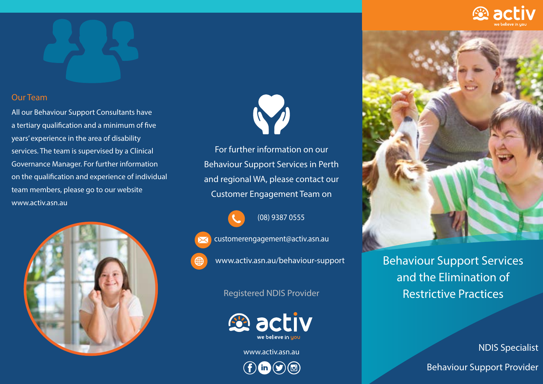## Our Team

All our Behaviour Support Consultants have a tertiary qualification and a minimum of five years' experience in the area of disability services. The team is supervised by a Clinical Governance Manager. For further information on the qualification and experience of individual team members, please go to our website www.activ.asn.au





For further information on our Behaviour Support Services in Perth and regional WA, please contact our Customer Engagement Team on

(08) 9387 0555

customerengagement@activ.asn.au

www.activ.asn.au/behaviour-support

Registered NDIS Provider



www.activ.asn.au

 $f(m(9)$ 



Behaviour Support Services and the Elimination of Restrictive Practices

NDIS Specialist

Behaviour Support Provider